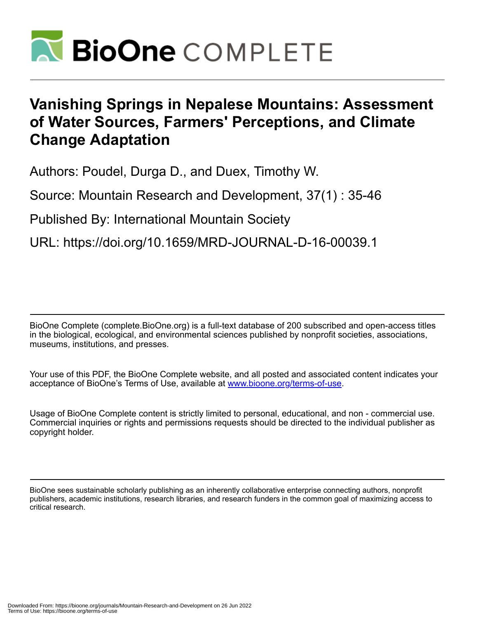

# **Vanishing Springs in Nepalese Mountains: Assessment of Water Sources, Farmers' Perceptions, and Climate Change Adaptation**

Authors: Poudel, Durga D., and Duex, Timothy W.

Source: Mountain Research and Development, 37(1) : 35-46

Published By: International Mountain Society

URL: https://doi.org/10.1659/MRD-JOURNAL-D-16-00039.1

BioOne Complete (complete.BioOne.org) is a full-text database of 200 subscribed and open-access titles in the biological, ecological, and environmental sciences published by nonprofit societies, associations, museums, institutions, and presses.

Your use of this PDF, the BioOne Complete website, and all posted and associated content indicates your acceptance of BioOne's Terms of Use, available at www.bioone.org/terms-of-use.

Usage of BioOne Complete content is strictly limited to personal, educational, and non - commercial use. Commercial inquiries or rights and permissions requests should be directed to the individual publisher as copyright holder.

BioOne sees sustainable scholarly publishing as an inherently collaborative enterprise connecting authors, nonprofit publishers, academic institutions, research libraries, and research funders in the common goal of maximizing access to critical research.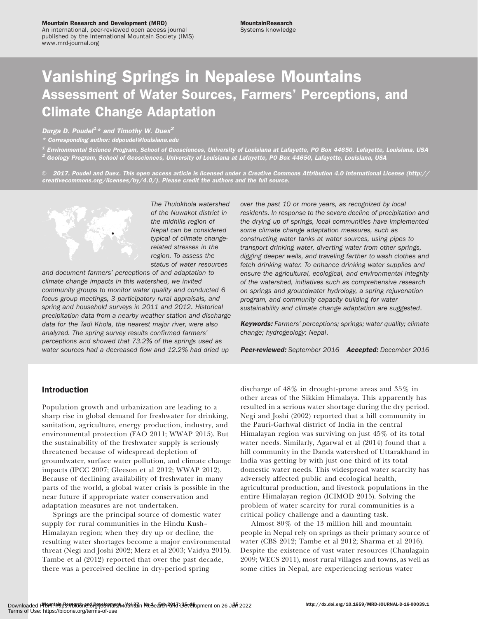#### Mountain Research and Development (MRD)

An international, peer-reviewed open access journal published by the International Mountain Society (IMS) www.mrd-journal.org

# Vanishing Springs in Nepalese Mountains Assessment of Water Sources, Farmers' Perceptions, and Climate Change Adaptation

Durga D. Poudel<sup>1</sup>\* and Timothy W. Duex<sup>2</sup>

\* Corresponding author: [ddpoudel@louisiana.edu](mailto:ddpoudel@louisiana.edu)

<sup>1</sup> Environmental Science Program, School of Geosciences, University of Louisiana at Lafayette, PO Box 44650, Lafayette, Louisiana, USA <sup>2</sup> Geology Program, School of Geosciences, University of Louisiana at Lafayette, PO Box 44650, Lafayette, Louisiana, USA

 $\odot$   $\,$  2017. Poudel and Duex. This open access article is licensed under a Creative Commons Attribution 4.0 International License [\(http://](http://creativecommons.org/licenses/by/4.0/) [creativecommons.org/licenses/by/4.0/](http://creativecommons.org/licenses/by/4.0/)). Please credit the authors and the full source.



The Thulokhola watershed of the Nuwakot district in the midhills region of Nepal can be considered typical of climate changerelated stresses in the region. To assess the status of water resources

and document farmers' perceptions of and adaptation to climate change impacts in this watershed, we invited community groups to monitor water quality and conducted 6 focus group meetings, 3 participatory rural appraisals, and spring and household surveys in 2011 and 2012. Historical precipitation data from a nearby weather station and discharge data for the Tadi Khola, the nearest major river, were also analyzed. The spring survey results confirmed farmers' perceptions and showed that 73.2% of the springs used as water sources had a decreased flow and 12.2% had dried up

over the past 10 or more years, as recognized by local residents. In response to the severe decline of precipitation and the drying up of springs, local communities have implemented some climate change adaptation measures, such as constructing water tanks at water sources, using pipes to transport drinking water, diverting water from other springs, digging deeper wells, and traveling farther to wash clothes and fetch drinking water. To enhance drinking water supplies and ensure the agricultural, ecological, and environmental integrity of the watershed, initiatives such as comprehensive research on springs and groundwater hydrology, a spring rejuvenation program, and community capacity building for water sustainability and climate change adaptation are suggested.

Keywords: Farmers' perceptions; springs; water quality; climate change; hydrogeology; Nepal.

Peer-reviewed: September 2016 Accepted: December 2016

# Introduction

Population growth and urbanization are leading to a sharp rise in global demand for freshwater for drinking, sanitation, agriculture, energy production, industry, and environmental protection (FAO 2011; WWAP 2015). But the sustainability of the freshwater supply is seriously threatened because of widespread depletion of groundwater, surface water pollution, and climate change impacts (IPCC 2007; Gleeson et al 2012; WWAP 2012). Because of declining availability of freshwater in many parts of the world, a global water crisis is possible in the near future if appropriate water conservation and adaptation measures are not undertaken.

Springs are the principal source of domestic water supply for rural communities in the Hindu Kush– Himalayan region; when they dry up or decline, the resulting water shortages become a major environmental threat (Negi and Joshi 2002; Merz et al 2003; Vaidya 2015). Tambe et al (2012) reported that over the past decade, there was a perceived decline in dry-period spring

discharge of 48% in drought-prone areas and 35% in other areas of the Sikkim Himalaya. This apparently has resulted in a serious water shortage during the dry period. Negi and Joshi (2002) reported that a hill community in the Pauri-Garhwal district of India in the central Himalayan region was surviving on just 45% of its total water needs. Similarly, Agarwal et al (2014) found that a hill community in the Danda watershed of Uttarakhand in India was getting by with just one third of its total domestic water needs. This widespread water scarcity has adversely affected public and ecological health, agricultural production, and livestock populations in the entire Himalayan region (ICIMOD 2015). Solving the problem of water scarcity for rural communities is a critical policy challenge and a daunting task.

Almost 80% of the 13 million hill and mountain people in Nepal rely on springs as their primary source of water (CBS 2012; Tambe et al 2012; Sharma et al 2016). Despite the existence of vast water resources (Chaulagain 2009; WECS 2011), most rural villages and towns, as well as some cities in Nepal, are experiencing serious water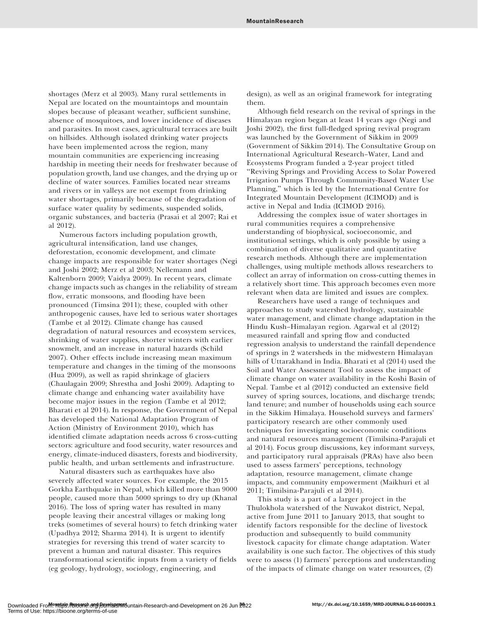shortages (Merz et al 2003). Many rural settlements in Nepal are located on the mountaintops and mountain slopes because of pleasant weather, sufficient sunshine, absence of mosquitoes, and lower incidence of diseases and parasites. In most cases, agricultural terraces are built on hillsides. Although isolated drinking water projects have been implemented across the region, many mountain communities are experiencing increasing hardship in meeting their needs for freshwater because of population growth, land use changes, and the drying up or decline of water sources. Families located near streams and rivers or in valleys are not exempt from drinking water shortages, primarily because of the degradation of surface water quality by sediments, suspended solids, organic substances, and bacteria (Prasai et al 2007; Rai et al 2012).

Numerous factors including population growth, agricultural intensification, land use changes, deforestation, economic development, and climate change impacts are responsible for water shortages (Negi and Joshi 2002; Merz et al 2003; Nellemann and Kaltenborn 2009; Vaidya 2009). In recent years, climate change impacts such as changes in the reliability of stream flow, erratic monsoons, and flooding have been pronounced (Timsina 2011); these, coupled with other anthropogenic causes, have led to serious water shortages (Tambe et al 2012). Climate change has caused degradation of natural resources and ecosystem services, shrinking of water supplies, shorter winters with earlier snowmelt, and an increase in natural hazards (Schild 2007). Other effects include increasing mean maximum temperature and changes in the timing of the monsoons (Hua 2009), as well as rapid shrinkage of glaciers (Chaulagain 2009; Shrestha and Joshi 2009). Adapting to climate change and enhancing water availability have become major issues in the region (Tambe et al 2012; Bharati et al 2014). In response, the Government of Nepal has developed the National Adaptation Program of Action (Ministry of Environment 2010), which has identified climate adaptation needs across 6 cross-cutting sectors: agriculture and food security, water resources and energy, climate-induced disasters, forests and biodiversity, public health, and urban settlements and infrastructure.

Natural disasters such as earthquakes have also severely affected water sources. For example, the 2015 Gorkha Earthquake in Nepal, which killed more than 9000 people, caused more than 5000 springs to dry up (Khanal 2016). The loss of spring water has resulted in many people leaving their ancestral villages or making long treks (sometimes of several hours) to fetch drinking water (Upadhya 2012; Sharma 2014). It is urgent to identify strategies for reversing this trend of water scarcity to prevent a human and natural disaster. This requires transformational scientific inputs from a variety of fields (eg geology, hydrology, sociology, engineering, and

design), as well as an original framework for integrating them.

Although field research on the revival of springs in the Himalayan region began at least 14 years ago (Negi and Joshi 2002), the first full-fledged spring revival program was launched by the Government of Sikkim in 2009 (Government of Sikkim 2014). The Consultative Group on International Agricultural Research–Water, Land and Ecosystems Program funded a 2-year project titled ''Reviving Springs and Providing Access to Solar Powered Irrigation Pumps Through Community-Based Water Use Planning,'' which is led by the International Centre for Integrated Mountain Development (ICIMOD) and is active in Nepal and India (ICIMOD 2016).

Addressing the complex issue of water shortages in rural communities requires a comprehensive understanding of biophysical, socioeconomic, and institutional settings, which is only possible by using a combination of diverse qualitative and quantitative research methods. Although there are implementation challenges, using multiple methods allows researchers to collect an array of information on cross-cutting themes in a relatively short time. This approach becomes even more relevant when data are limited and issues are complex.

Researchers have used a range of techniques and approaches to study watershed hydrology, sustainable water management, and climate change adaptation in the Hindu Kush–Himalayan region. Agarwal et al (2012) measured rainfall and spring flow and conducted regression analysis to understand the rainfall dependence of springs in 2 watersheds in the midwestern Himalayan hills of Uttarakhand in India. Bharati et al (2014) used the Soil and Water Assessment Tool to assess the impact of climate change on water availability in the Koshi Basin of Nepal. Tambe et al (2012) conducted an extensive field survey of spring sources, locations, and discharge trends; land tenure; and number of households using each source in the Sikkim Himalaya. Household surveys and farmers' participatory research are other commonly used techniques for investigating socioeconomic conditions and natural resources management (Timilsina-Parajuli et al 2014). Focus group discussions, key informant surveys, and participatory rural appraisals (PRAs) have also been used to assess farmers' perceptions, technology adaptation, resource management, climate change impacts, and community empowerment (Maikhuri et al 2011; Timilsina-Parajuli et al 2014).

This study is a part of a larger project in the Thulokhola watershed of the Nuwakot district, Nepal, active from June 2011 to January 2013, that sought to identify factors responsible for the decline of livestock production and subsequently to build community livestock capacity for climate change adaptation. Water availability is one such factor. The objectives of this study were to assess (1) farmers' perceptions and understanding of the impacts of climate change on water resources, (2)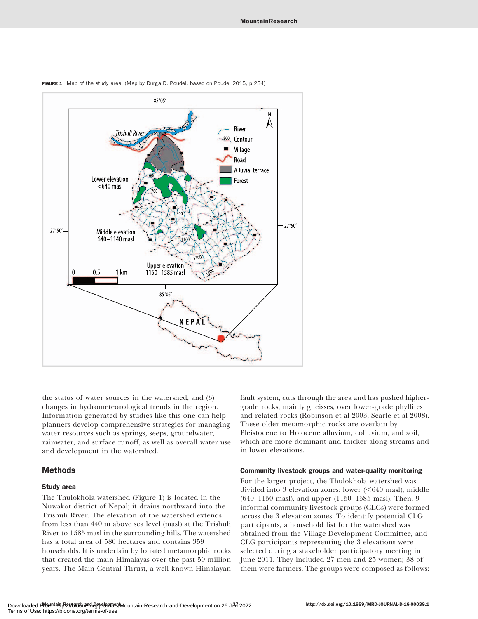

FIGURE 1 Map of the study area. (Map by Durga D. Poudel, based on Poudel 2015, p 234)

the status of water sources in the watershed, and (3) changes in hydrometeorological trends in the region. Information generated by studies like this one can help planners develop comprehensive strategies for managing water resources such as springs, seeps, groundwater, rainwater, and surface runoff, as well as overall water use and development in the watershed.

## Methods

## Study area

The Thulokhola watershed (Figure 1) is located in the Nuwakot district of Nepal; it drains northward into the Trishuli River. The elevation of the watershed extends from less than 440 m above sea level (masl) at the Trishuli River to 1585 masl in the surrounding hills. The watershed has a total area of 580 hectares and contains 359 households. It is underlain by foliated metamorphic rocks that created the main Himalayas over the past 50 million years. The Main Central Thrust, a well-known Himalayan

fault system, cuts through the area and has pushed highergrade rocks, mainly gneisses, over lower-grade phyllites and related rocks (Robinson et al 2003; Searle et al 2008). These older metamorphic rocks are overlain by Pleistocene to Holocene alluvium, colluvium, and soil, which are more dominant and thicker along streams and in lower elevations.

#### Community livestock groups and water-quality monitoring

For the larger project, the Thulokhola watershed was divided into 3 elevation zones: lower  $(<640$  masl), middle (640–1150 masl), and upper (1150–1585 masl). Then, 9 informal community livestock groups (CLGs) were formed across the 3 elevation zones. To identify potential CLG participants, a household list for the watershed was obtained from the Village Development Committee, and CLG participants representing the 3 elevations were selected during a stakeholder participatory meeting in June 2011. They included 27 men and 25 women; 38 of them were farmers. The groups were composed as follows: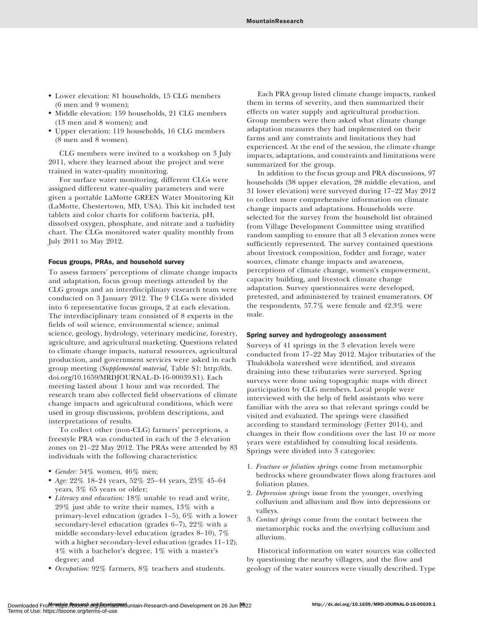- Lower elevation: 81 households, 15 CLG members (6 men and 9 women);
- Middle elevation: 159 households, 21 CLG members (13 men and 8 women); and
- Upper elevation: 119 households, 16 CLG members (8 men and 8 women).

CLG members were invited to a workshop on 3 July 2011, where they learned about the project and were trained in water-quality monitoring.

For surface water monitoring, different CLGs were assigned different water-quality parameters and were given a portable LaMotte GREEN Water Monitoring Kit (LaMotte, Chestertown, MD, USA). This kit included test tablets and color charts for coliform bacteria, pH, dissolved oxygen, phosphate, and nitrate and a turbidity chart. The CLGs monitored water quality monthly from July 2011 to May 2012.

#### Focus groups, PRAs, and household survey

To assess farmers' perceptions of climate change impacts and adaptation, focus group meetings attended by the CLG groups and an interdisciplinary research team were conducted on 3 January 2012. The 9 CLGs were divided into 6 representative focus groups, 2 at each elevation. The interdisciplinary team consisted of 8 experts in the fields of soil science, environmental science, animal science, geology, hydrology, veterinary medicine, forestry, agriculture, and agricultural marketing. Questions related to climate change impacts, natural resources, agricultural production, and government services were asked in each group meeting (Supplemental material, Table S1: [http://dx.](http://dx.doi.org/10.1659/MRDJOURNAL-D-16-00039.S1) [doi.org/10.1659/MRDJOURNAL-D-16-00039.S1](http://dx.doi.org/10.1659/MRDJOURNAL-D-16-00039.S1)). Each meeting lasted about 1 hour and was recorded. The research team also collected field observations of climate change impacts and agricultural conditions, which were used in group discussions, problem descriptions, and interpretations of results.

To collect other (non-CLG) farmers' perceptions, a freestyle PRA was conducted in each of the 3 elevation zones on 21–22 May 2012. The PRAs were attended by 83 individuals with the following characteristics:

- *Gender:* 54% women, 46% men;
- Age: 22% 18–24 years, 52% 25–44 years, 23% 45–64 years, 3% 65 years or older;
- Literacy and education: 18% unable to read and write, 29% just able to write their names, 13% with a primary-level education (grades 1–5), 6% with a lower secondary-level education (grades 6–7), 22% with a middle secondary-level education (grades 8–10), 7% with a higher secondary-level education (grades 11–12), 4% with a bachelor's degree, 1% with a master's degree; and
- Occupation: 92% farmers, 8% teachers and students.

Each PRA group listed climate change impacts, ranked them in terms of severity, and then summarized their effects on water supply and agricultural production. Group members were then asked what climate change adaptation measures they had implemented on their farms and any constraints and limitations they had experienced. At the end of the session, the climate change impacts, adaptations, and constraints and limitations were summarized for the group.

In addition to the focus group and PRA discussions, 97 households (38 upper elevation, 28 middle elevation, and 31 lower elevation) were surveyed during 17–22 May 2012 to collect more comprehensive information on climate change impacts and adaptations. Households were selected for the survey from the household list obtained from Village Development Committee using stratified random sampling to ensure that all 3 elevation zones were sufficiently represented. The survey contained questions about livestock composition, fodder and forage, water sources, climate change impacts and awareness, perceptions of climate change, women's empowerment, capacity building, and livestock climate change adaptation. Survey questionnaires were developed, pretested, and administered by trained enumerators. Of the respondents, 57.7% were female and 42.3% were male.

# Spring survey and hydrogeology assessment

Surveys of 41 springs in the 3 elevation levels were conducted from 17–22 May 2012. Major tributaries of the Thulokhola watershed were identified, and streams draining into these tributaries were surveyed. Spring surveys were done using topographic maps with direct participation by CLG members. Local people were interviewed with the help of field assistants who were familiar with the area so that relevant springs could be visited and evaluated. The springs were classified according to standard terminology (Fetter 2014), and changes in their flow conditions over the last 10 or more years were established by consulting local residents. Springs were divided into 3 categories:

- 1. Fracture or foliation springs come from metamorphic bedrocks where groundwater flows along fractures and foliation planes.
- 2. Depression springs issue from the younger, overlying colluvium and alluvium and flow into depressions or valleys.
- 3. Contact springs come from the contact between the metamorphic rocks and the overlying colluvium and alluvium.

Historical information on water sources was collected by questioning the nearby villagers, and the flow and geology of the water sources were visually described. Type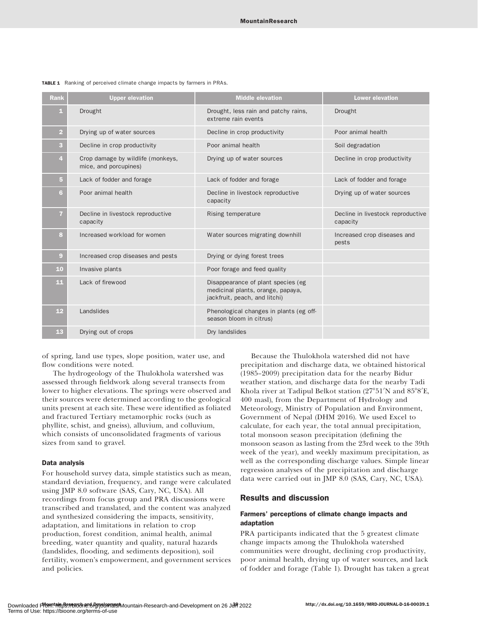| Rank            | <b>Upper elevation</b>                                     | <b>Middle elevation</b>                                                                                  | <b>Lower elevation</b>                        |
|-----------------|------------------------------------------------------------|----------------------------------------------------------------------------------------------------------|-----------------------------------------------|
| 1.              | Drought                                                    | Drought, less rain and patchy rains,<br>extreme rain events                                              | Drought                                       |
| $\overline{2}$  | Drying up of water sources                                 | Decline in crop productivity                                                                             | Poor animal health                            |
| 3               | Decline in crop productivity                               | Poor animal health                                                                                       | Soil degradation                              |
| 4               | Crop damage by wildlife (monkeys,<br>mice, and porcupines) | Drying up of water sources                                                                               | Decline in crop productivity                  |
| $5\phantom{.0}$ | Lack of fodder and forage                                  | Lack of fodder and forage                                                                                | Lack of fodder and forage                     |
| 6               | Poor animal health                                         | Decline in livestock reproductive<br>capacity                                                            | Drying up of water sources                    |
| 57              | Decline in livestock reproductive<br>capacity              | Rising temperature                                                                                       | Decline in livestock reproductive<br>capacity |
| 8               | Increased workload for women                               | Water sources migrating downhill                                                                         | Increased crop diseases and<br>pests          |
| $\overline{9}$  | Increased crop diseases and pests                          | Drying or dying forest trees                                                                             |                                               |
| 10              | Invasive plants                                            | Poor forage and feed quality                                                                             |                                               |
| 11              | Lack of firewood                                           | Disappearance of plant species (eg<br>medicinal plants, orange, papaya,<br>jackfruit, peach, and litchi) |                                               |
| 12              | Landslides                                                 | Phenological changes in plants (eg off-<br>season bloom in citrus)                                       |                                               |
| 13              | Drying out of crops                                        | Dry landslides                                                                                           |                                               |

TABLE 1 Ranking of perceived climate change impacts by farmers in PRAs.

of spring, land use types, slope position, water use, and flow conditions were noted.

The hydrogeology of the Thulokhola watershed was assessed through fieldwork along several transects from lower to higher elevations. The springs were observed and their sources were determined according to the geological units present at each site. These were identified as foliated and fractured Tertiary metamorphic rocks (such as phyllite, schist, and gneiss), alluvium, and colluvium, which consists of unconsolidated fragments of various sizes from sand to gravel.

#### Data analysis

For household survey data, simple statistics such as mean, standard deviation, frequency, and range were calculated using JMP 8.0 software (SAS, Cary, NC, USA). All recordings from focus group and PRA discussions were transcribed and translated, and the content was analyzed and synthesized considering the impacts, sensitivity, adaptation, and limitations in relation to crop production, forest condition, animal health, animal breeding, water quantity and quality, natural hazards (landslides, flooding, and sediments deposition), soil fertility, women's empowerment, and government services and policies.

Because the Thulokhola watershed did not have precipitation and discharge data, we obtained historical (1985–2009) precipitation data for the nearby Bidur weather station, and discharge data for the nearby Tadi Khola river at Tadipul Belkot station (27°51′N and 85°8′E, 400 masl), from the Department of Hydrology and Meteorology, Ministry of Population and Environment, Government of Nepal (DHM 2016). We used Excel to calculate, for each year, the total annual precipitation, total monsoon season precipitation (defining the monsoon season as lasting from the 23rd week to the 39th week of the year), and weekly maximum precipitation, as well as the corresponding discharge values. Simple linear regression analyses of the precipitation and discharge data were carried out in JMP 8.0 (SAS, Cary, NC, USA).

# Results and discussion

# Farmers' perceptions of climate change impacts and adaptation

PRA participants indicated that the 5 greatest climate change impacts among the Thulokhola watershed communities were drought, declining crop productivity, poor animal health, drying up of water sources, and lack of fodder and forage (Table 1). Drought has taken a great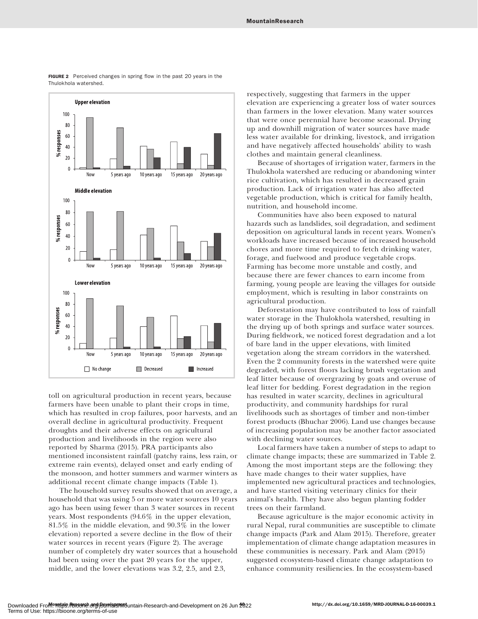

FIGURE 2 Perceived changes in spring flow in the past 20 years in the Thulokhola watershed.

toll on agricultural production in recent years, because farmers have been unable to plant their crops in time, which has resulted in crop failures, poor harvests, and an overall decline in agricultural productivity. Frequent droughts and their adverse effects on agricultural production and livelihoods in the region were also reported by Sharma (2015). PRA participants also mentioned inconsistent rainfall (patchy rains, less rain, or extreme rain events), delayed onset and early ending of the monsoon, and hotter summers and warmer winters as additional recent climate change impacts (Table 1).

The household survey results showed that on average, a household that was using 5 or more water sources 10 years ago has been using fewer than 3 water sources in recent years. Most respondents (94.6% in the upper elevation, 81.5% in the middle elevation, and 90.3% in the lower elevation) reported a severe decline in the flow of their water sources in recent years (Figure 2). The average number of completely dry water sources that a household had been using over the past 20 years for the upper, middle, and the lower elevations was 3.2, 2.5, and 2.3,

respectively, suggesting that farmers in the upper elevation are experiencing a greater loss of water sources than farmers in the lower elevation. Many water sources that were once perennial have become seasonal. Drying up and downhill migration of water sources have made less water available for drinking, livestock, and irrigation and have negatively affected households' ability to wash clothes and maintain general cleanliness.

Because of shortages of irrigation water, farmers in the Thulokhola watershed are reducing or abandoning winter rice cultivation, which has resulted in decreased grain production. Lack of irrigation water has also affected vegetable production, which is critical for family health, nutrition, and household income.

Communities have also been exposed to natural hazards such as landslides, soil degradation, and sediment deposition on agricultural lands in recent years. Women's workloads have increased because of increased household chores and more time required to fetch drinking water, forage, and fuelwood and produce vegetable crops. Farming has become more unstable and costly, and because there are fewer chances to earn income from farming, young people are leaving the villages for outside employment, which is resulting in labor constraints on agricultural production.

Deforestation may have contributed to loss of rainfall water storage in the Thulokhola watershed, resulting in the drying up of both springs and surface water sources. During fieldwork, we noticed forest degradation and a lot of bare land in the upper elevations, with limited vegetation along the stream corridors in the watershed. Even the 2 community forests in the watershed were quite degraded, with forest floors lacking brush vegetation and leaf litter because of overgrazing by goats and overuse of leaf litter for bedding. Forest degradation in the region has resulted in water scarcity, declines in agricultural productivity, and community hardships for rural livelihoods such as shortages of timber and non-timber forest products (Bhuchar 2006). Land use changes because of increasing population may be another factor associated with declining water sources.

Local farmers have taken a number of steps to adapt to climate change impacts; these are summarized in Table 2. Among the most important steps are the following: they have made changes to their water supplies, have implemented new agricultural practices and technologies, and have started visiting veterinary clinics for their animal's health. They have also begun planting fodder trees on their farmland.

Because agriculture is the major economic activity in rural Nepal, rural communities are susceptible to climate change impacts (Park and Alam 2015). Therefore, greater implementation of climate change adaptation measures in these communities is necessary. Park and Alam (2015) suggested ecosystem-based climate change adaptation to enhance community resiliencies. In the ecosystem-based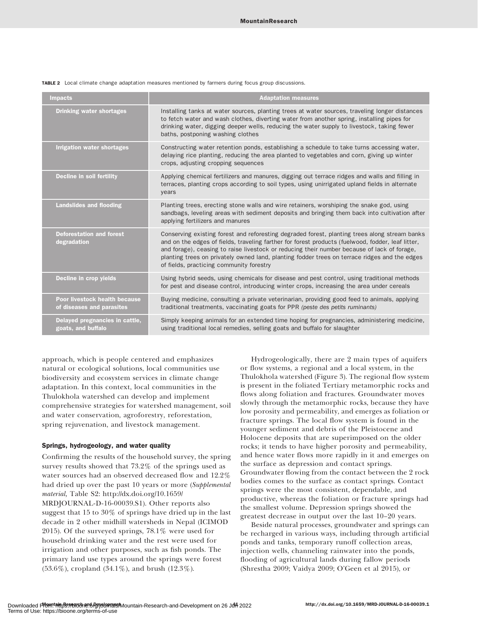**TABLE 2** Local climate change adaptation measures mentioned by farmers during focus group discussions.

| <b>Impacts</b>                                             | <b>Adaptation measures</b>                                                                                                                                                                                                                                                                                                                                                                                                                     |
|------------------------------------------------------------|------------------------------------------------------------------------------------------------------------------------------------------------------------------------------------------------------------------------------------------------------------------------------------------------------------------------------------------------------------------------------------------------------------------------------------------------|
| <b>Drinking water shortages</b>                            | Installing tanks at water sources, planting trees at water sources, traveling longer distances<br>to fetch water and wash clothes, diverting water from another spring, installing pipes for<br>drinking water, digging deeper wells, reducing the water supply to livestock, taking fewer<br>baths, postponing washing clothes                                                                                                                |
| <b>Irrigation water shortages</b>                          | Constructing water retention ponds, establishing a schedule to take turns accessing water,<br>delaying rice planting, reducing the area planted to vegetables and corn, giving up winter<br>crops, adjusting cropping sequences                                                                                                                                                                                                                |
| <b>Decline in soil fertility</b>                           | Applying chemical fertilizers and manures, digging out terrace ridges and walls and filling in<br>terraces, planting crops according to soil types, using unirrigated upland fields in alternate<br>years                                                                                                                                                                                                                                      |
| <b>Landslides and flooding</b>                             | Planting trees, erecting stone walls and wire retainers, worshiping the snake god, using<br>sandbags, leveling areas with sediment deposits and bringing them back into cultivation after<br>applying fertilizers and manures                                                                                                                                                                                                                  |
| <b>Deforestation and forest</b><br>degradation             | Conserving existing forest and reforesting degraded forest, planting trees along stream banks<br>and on the edges of fields, traveling farther for forest products (fuelwood, fodder, leaf litter,<br>and forage), ceasing to raise livestock or reducing their number because of lack of forage.<br>planting trees on privately owned land, planting fodder trees on terrace ridges and the edges<br>of fields, practicing community forestry |
| <b>Decline in crop yields</b>                              | Using hybrid seeds, using chemicals for disease and pest control, using traditional methods<br>for pest and disease control, introducing winter crops, increasing the area under cereals                                                                                                                                                                                                                                                       |
| Poor livestock health because<br>of diseases and parasites | Buying medicine, consulting a private veterinarian, providing good feed to animals, applying<br>traditional treatments, vaccinating goats for PPR (peste des petits ruminants)                                                                                                                                                                                                                                                                 |
| Delayed pregnancies in cattle,<br>goats, and buffalo       | Simply keeping animals for an extended time hoping for pregnancies, administering medicine,<br>using traditional local remedies, selling goats and buffalo for slaughter                                                                                                                                                                                                                                                                       |

approach, which is people centered and emphasizes natural or ecological solutions, local communities use biodiversity and ecosystem services in climate change adaptation. In this context, local communities in the Thulokhola watershed can develop and implement comprehensive strategies for watershed management, soil and water conservation, agroforestry, reforestation, spring rejuvenation, and livestock management.

## Springs, hydrogeology, and water quality

Confirming the results of the household survey, the spring survey results showed that 73.2% of the springs used as water sources had an observed decreased flow and 12.2% had dried up over the past 10 years or more (Supplemental material, Table S2: [http://dx.doi.org/10.1659/](http://dx.doi.org/10.1659/MRDJOURNAL-D-16-00039.S1) [MRDJOURNAL-D-16-00039.S1\)](http://dx.doi.org/10.1659/MRDJOURNAL-D-16-00039.S1). Other reports also suggest that 15 to 30% of springs have dried up in the last decade in 2 other midhill watersheds in Nepal (ICIMOD 2015). Of the surveyed springs, 78.1% were used for household drinking water and the rest were used for irrigation and other purposes, such as fish ponds. The primary land use types around the springs were forest  $(53.6\%)$ , cropland  $(34.1\%)$ , and brush  $(12.3\%)$ .

Hydrogeologically, there are 2 main types of aquifers or flow systems, a regional and a local system, in the Thulokhola watershed (Figure 3). The regional flow system is present in the foliated Tertiary metamorphic rocks and flows along foliation and fractures. Groundwater moves slowly through the metamorphic rocks, because they have low porosity and permeability, and emerges as foliation or fracture springs. The local flow system is found in the younger sediment and debris of the Pleistocene and Holocene deposits that are superimposed on the older rocks; it tends to have higher porosity and permeability, and hence water flows more rapidly in it and emerges on the surface as depression and contact springs. Groundwater flowing from the contact between the 2 rock bodies comes to the surface as contact springs. Contact springs were the most consistent, dependable, and productive, whereas the foliation or fracture springs had the smallest volume. Depression springs showed the greatest decrease in output over the last 10–20 years.

Beside natural processes, groundwater and springs can be recharged in various ways, including through artificial ponds and tanks, temporary runoff collection areas, injection wells, channeling rainwater into the ponds, flooding of agricultural lands during fallow periods (Shrestha 2009; Vaidya 2009; O'Geen et al 2015), or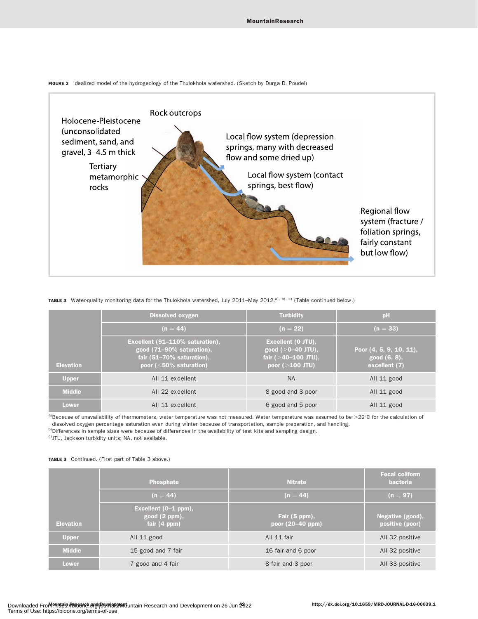FIGURE 3 Idealized model of the hydrogeology of the Thulokhola watershed. (Sketch by Durga D. Poudel)



TABLE 3 Water-quality monitoring data for the Thulokhola watershed, July 2011–May 2012.<sup>a), b), c)</sup> (Table continued below.)

|                  | <b>Dissolved oxygen</b>                                                                                              | <b>Turbidity</b>                                                                         | pH                                                          |
|------------------|----------------------------------------------------------------------------------------------------------------------|------------------------------------------------------------------------------------------|-------------------------------------------------------------|
|                  | $(n = 44)$                                                                                                           | $(n = 22)$                                                                               | $(n = 33)$                                                  |
| <b>Elevation</b> | Excellent (91-110% saturation),<br>good (71–90% saturation),<br>fair (51-70% saturation),<br>poor $(50% saturation)$ | Excellent (0 JTU),<br>good $(>0-40$ JTU),<br>fair $($ >40-100 JTU),<br>poor $(>100$ JTU) | Poor $(4, 5, 9, 10, 11)$ ,<br>good (6, 8),<br>excellent (7) |
| <b>Upper</b>     | All 11 excellent                                                                                                     | <b>NA</b>                                                                                | All 11 good                                                 |
| <b>Middle</b>    | All 22 excellent                                                                                                     | 8 good and 3 poor                                                                        | All 11 good                                                 |
| Lower            | All 11 excellent                                                                                                     | 6 good and 5 poor                                                                        | All 11 good                                                 |

 $a)$ Because of unavailability of thermometers, water temperature was not measured. Water temperature was assumed to be  $>22^{\circ}$  for the calculation of dissolved oxygen percentage saturation even during winter because of transportation, sample preparation, and handling.

b) Differences in sample sizes were because of differences in the availability of test kits and sampling design.

c) JTU, Jackson turbidity units; NA, not available.

|                  | <b>Phosphate</b>                                        | <b>Nitrate</b>                    | <b>Fecal coliform</b><br>bacteria   |
|------------------|---------------------------------------------------------|-----------------------------------|-------------------------------------|
|                  | $(n = 44)$                                              | $(n = 44)$                        | $(n = 97)$                          |
| <b>Elevation</b> | Excellent (0-1 ppm),<br>good (2 ppm),<br>fair $(4 ppm)$ | Fair (5 ppm),<br>poor (20–40 ppm) | Negative (good),<br>positive (poor) |
| <b>Upper</b>     | All 11 good                                             | All 11 fair                       | All 32 positive                     |
| <b>Middle</b>    | 15 good and 7 fair                                      | 16 fair and 6 poor                | All 32 positive                     |
| <b>Lower</b>     | 7 good and 4 fair                                       | 8 fair and 3 poor                 | All 33 positive                     |

TABLE 3 Continued. (First part of Table 3 above.)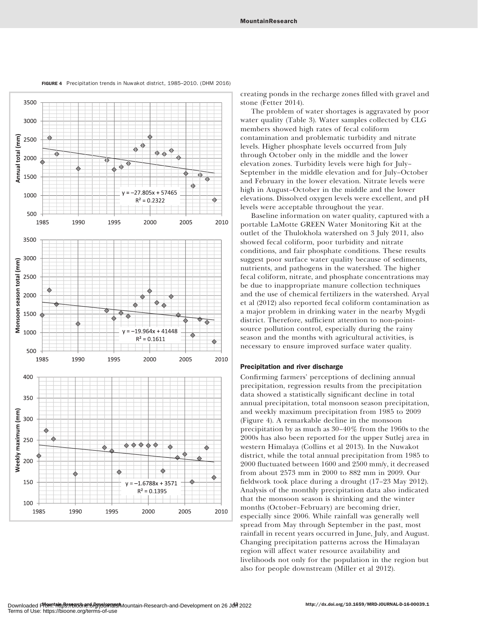

#### FIGURE 4 Precipitation trends in Nuwakot district, 1985–2010. (DHM 2016)

creating ponds in the recharge zones filled with gravel and stone (Fetter 2014).

The problem of water shortages is aggravated by poor water quality (Table 3). Water samples collected by CLG members showed high rates of fecal coliform contamination and problematic turbidity and nitrate levels. Higher phosphate levels occurred from July through October only in the middle and the lower elevation zones. Turbidity levels were high for July– September in the middle elevation and for July–October and February in the lower elevation. Nitrate levels were high in August–October in the middle and the lower elevations. Dissolved oxygen levels were excellent, and pH levels were acceptable throughout the year.

Baseline information on water quality, captured with a portable LaMotte GREEN Water Monitoring Kit at the outlet of the Thulokhola watershed on 3 July 2011, also showed fecal coliform, poor turbidity and nitrate conditions, and fair phosphate conditions. These results suggest poor surface water quality because of sediments, nutrients, and pathogens in the watershed. The higher fecal coliform, nitrate, and phosphate concentrations may be due to inappropriate manure collection techniques and the use of chemical fertilizers in the watershed. Aryal et al (2012) also reported fecal coliform contamination as a major problem in drinking water in the nearby Mygdi district. Therefore, sufficient attention to non-pointsource pollution control, especially during the rainy season and the months with agricultural activities, is necessary to ensure improved surface water quality.

#### Precipitation and river discharge

Confirming farmers' perceptions of declining annual precipitation, regression results from the precipitation data showed a statistically significant decline in total annual precipitation, total monsoon season precipitation, and weekly maximum precipitation from 1985 to 2009 (Figure 4). A remarkable decline in the monsoon precipitation by as much as 30–40% from the 1960s to the 2000s has also been reported for the upper Sutlej area in western Himalaya (Collins et al 2013). In the Nuwakot district, while the total annual precipitation from 1985 to 2000 fluctuated between 1600 and 2500 mm/y, it decreased from about 2573 mm in 2000 to 882 mm in 2009. Our fieldwork took place during a drought (17–23 May 2012). Analysis of the monthly precipitation data also indicated that the monsoon season is shrinking and the winter months (October–February) are becoming drier, especially since 2006. While rainfall was generally well spread from May through September in the past, most rainfall in recent years occurred in June, July, and August. Changing precipitation patterns across the Himalayan region will affect water resource availability and livelihoods not only for the population in the region but also for people downstream (Miller et al 2012).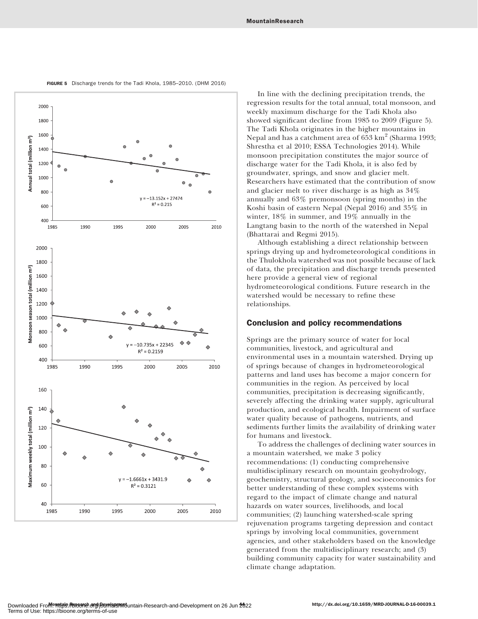

FIGURE 5 Discharge trends for the Tadi Khola, 1985–2010. (DHM 2016)

In line with the declining precipitation trends, the regression results for the total annual, total monsoon, and weekly maximum discharge for the Tadi Khola also showed significant decline from 1985 to 2009 (Figure 5). The Tadi Khola originates in the higher mountains in Nepal and has a catchment area of  $653 \text{ km}^2$  (Sharma 1993; Shrestha et al 2010; ESSA Technologies 2014). While monsoon precipitation constitutes the major source of discharge water for the Tadi Khola, it is also fed by groundwater, springs, and snow and glacier melt. Researchers have estimated that the contribution of snow and glacier melt to river discharge is as high as 34% annually and 63% premonsoon (spring months) in the Koshi basin of eastern Nepal (Nepal 2016) and 35% in winter, 18% in summer, and 19% annually in the Langtang basin to the north of the watershed in Nepal (Bhattarai and Regmi 2015).

Although establishing a direct relationship between springs drying up and hydrometeorological conditions in the Thulokhola watershed was not possible because of lack of data, the precipitation and discharge trends presented here provide a general view of regional hydrometeorological conditions. Future research in the watershed would be necessary to refine these relationships.

## Conclusion and policy recommendations

Springs are the primary source of water for local communities, livestock, and agricultural and environmental uses in a mountain watershed. Drying up of springs because of changes in hydrometeorological patterns and land uses has become a major concern for communities in the region. As perceived by local communities, precipitation is decreasing significantly, severely affecting the drinking water supply, agricultural production, and ecological health. Impairment of surface water quality because of pathogens, nutrients, and sediments further limits the availability of drinking water for humans and livestock.

To address the challenges of declining water sources in a mountain watershed, we make 3 policy recommendations: (1) conducting comprehensive multidisciplinary research on mountain geohydrology, geochemistry, structural geology, and socioeconomics for better understanding of these complex systems with regard to the impact of climate change and natural hazards on water sources, livelihoods, and local communities; (2) launching watershed-scale spring rejuvenation programs targeting depression and contact springs by involving local communities, government agencies, and other stakeholders based on the knowledge generated from the multidisciplinary research; and (3) building community capacity for water sustainability and climate change adaptation.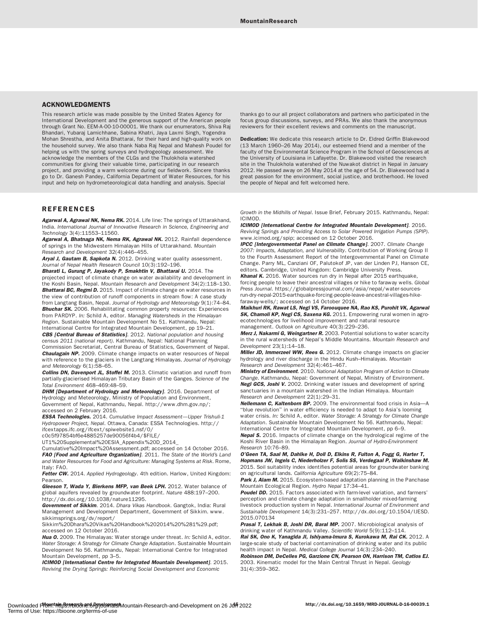#### ACKNOWLEDGMENTS

This research article was made possible by the United States Agency for International Development and the generous support of the American people through Grant No. EEM-A-00-10-00001. We thank our enumerators, Shiva Raj Bhandari, Yubaraj Lamichhane, Sabina Khatri, Jaya Laxmi Singh, Yogendra Mohan Shrestha, and Anita Bhattarai, for their hard and high-quality work on the household survey. We also thank Naba Raj Nepal and Mahesh Poudel for helping us with the spring surveys and hydrogeology assessment. We acknowledge the members of the CLGs and the Thulokhola watershed communities for giving their valuable time, participating in our research project, and providing a warm welcome during our fieldwork. Sincere thanks go to Dr. Ganesh Pandey, California Department of Water Resources, for his input and help on hydrometeorological data handling and analysis. Special

#### REFERENCES

Agarwal A, Agrawal NK, Nema RK. 2014. Life line: The springs of Uttarakhand, India. International Journal of Innovative Research in Science, Engineering and Technology 3(4):11553–11560.

Agarwal A, Bhatnaga NK, Nema RK, Agrawal NK. 2012. Rainfall dependence of springs in the Midwestern Himalayan Hills of Uttarakhand. Mountain Research and Development 32(4):446–455.

Aryal J, Gautam B, Sapkota N. 2012. Drinking water quality assessment. Journal of Nepal Health Research Council 10(3):192–196.

Bharati L, Gurung P, Jayakody P, Smakhtin V, Bhattarai U. 2014. The projected impact of climate change on water availability and development in the Koshi Basin, Nepal. Mountain Research and Development 34(2):118-130. Bhattarai BC, Regmi D. 2015. Impact of climate change on water resources in the view of contribution of runoff components in stream flow: A case study from Langtang Basin, Nepal. Journal of Hydrology and Meteorology 9(1):74-84. Bhuchar SK. 2006. Rehabilitating common property resources: Experiences from PARDYP. In: Schild A, editor. Managing Watersheds in the Himalayan Region. Sustainable Mountain Development No 51. Kathmandu, Nepal: International Centre for Integrated Mountain Development, pp 19–21. CBS [Central Bureau of Statistics]. 2012. National population and housing

census 2011 (national report). Kathmandu, Nepal: National Planning Commission Secretariat, Central Bureau of Statistics, Government of Nepal. Chaulagain NP. 2009. Climate change impacts on water resources of Nepal with reference to the glaciers in the Langtang Himalayas. Journal of Hydrology and Meteorology 6(1):58-65.

Collins DN, Davenport JL, Stoffel M. 2013. Climatic variation and runoff from partially-glacierised Himalayan Tributary Basin of the Ganges. Science of the Total Environment 468–469:48–59.

DHM [Department of Hydrology and Meteorology]. 2016. Department of Hydrology and Meteorology, Ministry of Population and Environment, Government of Nepal, Kathmandu, Nepal. [http://www.dhm.gov.np/;](http://www.dhm.gov.np/) accessed on 2 February 2016.

ESSA Technologies. 2014. Cumulative Impact Assessment—Upper Trishuli-1 Hydropower Project, Nepal. Ottawa, Canada: ESSA Technologies. [http://](http://ifcextapps.ifc.org/ifcext/spiwebsite1.nsf/0/c0c5f97854bf6e4885257de90056f4b4/$FILE/UT1%20Supplemental%20ESIA_Appendix%20D_2014_Cumulative%20Impact%20Assessment.pdf) [ifcextapps.ifc.org/ifcext/spiwebsite1.nsf/0/](http://ifcextapps.ifc.org/ifcext/spiwebsite1.nsf/0/c0c5f97854bf6e4885257de90056f4b4/$FILE/UT1%20Supplemental%20ESIA_Appendix%20D_2014_Cumulative%20Impact%20Assessment.pdf)

[c0c5f97854bf6e4885257de90056f4b4/\\$FILE/](http://ifcextapps.ifc.org/ifcext/spiwebsite1.nsf/0/c0c5f97854bf6e4885257de90056f4b4/$FILE/UT1%20Supplemental%20ESIA_Appendix%20D_2014_Cumulative%20Impact%20Assessment.pdf)

[UT1](http://ifcextapps.ifc.org/ifcext/spiwebsite1.nsf/0/c0c5f97854bf6e4885257de90056f4b4/$FILE/UT1%20Supplemental%20ESIA_Appendix%20D_2014_Cumulative%20Impact%20Assessment.pdf)%[20Supplemental](http://ifcextapps.ifc.org/ifcext/spiwebsite1.nsf/0/c0c5f97854bf6e4885257de90056f4b4/$FILE/UT1%20Supplemental%20ESIA_Appendix%20D_2014_Cumulative%20Impact%20Assessment.pdf)%[20ESIA\\_Appendix](http://ifcextapps.ifc.org/ifcext/spiwebsite1.nsf/0/c0c5f97854bf6e4885257de90056f4b4/$FILE/UT1%20Supplemental%20ESIA_Appendix%20D_2014_Cumulative%20Impact%20Assessment.pdf)%[20D\\_2014\\_](http://ifcextapps.ifc.org/ifcext/spiwebsite1.nsf/0/c0c5f97854bf6e4885257de90056f4b4/$FILE/UT1%20Supplemental%20ESIA_Appendix%20D_2014_Cumulative%20Impact%20Assessment.pdf)

[Cumulative](http://ifcextapps.ifc.org/ifcext/spiwebsite1.nsf/0/c0c5f97854bf6e4885257de90056f4b4/$FILE/UT1%20Supplemental%20ESIA_Appendix%20D_2014_Cumulative%20Impact%20Assessment.pdf)%[20Impact](http://ifcextapps.ifc.org/ifcext/spiwebsite1.nsf/0/c0c5f97854bf6e4885257de90056f4b4/$FILE/UT1%20Supplemental%20ESIA_Appendix%20D_2014_Cumulative%20Impact%20Assessment.pdf)%[20Assessment.pdf;](http://ifcextapps.ifc.org/ifcext/spiwebsite1.nsf/0/c0c5f97854bf6e4885257de90056f4b4/$FILE/UT1%20Supplemental%20ESIA_Appendix%20D_2014_Cumulative%20Impact%20Assessment.pdf) accessed on 14 October 2016. FAO [Food and Agriculture Organization]. 2011. The State of the World's Land and Water Resources for Food and Agriculture: Managing Systems at Risk. Rome, Italy: FAO.

Fetter CW. 2014. Applied Hydrogeology. 4th edition. Harlow, United Kingdom: Pearson.

Gleeson T, Wada Y, Bierkens MFP, van Beek LPH. 2012. Water balance of global aquifers revealed by groundwater footprint. Nature 488:197–200. [http://dx.doi.org/10.1038/nature11295.](http://dx.doi.org/10.1038/nature11295)

Government of Sikkim. 2014. Dhara Vikas Handbook. Gangtok, India: Rural Management and Development Department, Government of Sikkim. [www.](http://www.sikkimsprings.org/dv/report/Sikkim%20Dhara%20Vikas%20Handbook%202014%20%281%29.pdf) [sikkimsprings.org/dv/report/](http://www.sikkimsprings.org/dv/report/Sikkim%20Dhara%20Vikas%20Handbook%202014%20%281%29.pdf)

[Sikkim](http://www.sikkimsprings.org/dv/report/Sikkim%20Dhara%20Vikas%20Handbook%202014%20%281%29.pdf)%[20Dhara](http://www.sikkimsprings.org/dv/report/Sikkim%20Dhara%20Vikas%20Handbook%202014%20%281%29.pdf)%[20Vikas](http://www.sikkimsprings.org/dv/report/Sikkim%20Dhara%20Vikas%20Handbook%202014%20%281%29.pdf)%[20Handbook](http://www.sikkimsprings.org/dv/report/Sikkim%20Dhara%20Vikas%20Handbook%202014%20%281%29.pdf)%[202014](http://www.sikkimsprings.org/dv/report/Sikkim%20Dhara%20Vikas%20Handbook%202014%20%281%29.pdf)%[20](http://www.sikkimsprings.org/dv/report/Sikkim%20Dhara%20Vikas%20Handbook%202014%20%281%29.pdf)%[281](http://www.sikkimsprings.org/dv/report/Sikkim%20Dhara%20Vikas%20Handbook%202014%20%281%29.pdf)%[29.pdf](http://www.sikkimsprings.org/dv/report/Sikkim%20Dhara%20Vikas%20Handbook%202014%20%281%29.pdf); accessed on 12 October 2016.

Hua O. 2009. The Himalayas: Water storage under threat. In: Schild A, editor. Water Storage: A Strategy for Climate Change Adaptation. Sustainable Mountain Development No 56. Kathmandu, Nepal: International Centre for Integrated Mountain Development, pp 3–5.

ICIMOD [International Centre for Integrated Mountain Development]. 2015. Reviving the Drying Springs: Reinforcing Social Development and Economic

thanks go to our all project collaborators and partners who participated in the focus group discussions, surveys, and PRAs. We also thank the anonymous reviewers for their excellent reviews and comments on the manuscript.

Dedication: We dedicate this research article to Dr. Eldred Griffin Blakewood (13 March 1960–26 May 2014), our esteemed friend and a member of the faculty of the Environmental Science Program in the School of Geosciences at the University of Louisiana in Lafayette. Dr. Blakewood visited the research site in the Thulokhola watershed of the Nuwakot district in Nepal in January 2012. He passed away on 26 May 2014 at the age of 54. Dr. Blakewood had a great passion for the environment, social justice, and brotherhood. He loved the people of Nepal and felt welcomed here.

Growth in the Midhills of Nepal. Issue Brief, February 2015. Kathmandu, Nepal: ICIMOD.

ICIMOD [International Centre for Integrated Mountain Development]. 2016. Reviving Springs and Providing Access to Solar Powered Irrigation Pumps (SPIP). [www.icimod.org/spip;](http://www.icimod.org/spip) accessed on 12 October 2016.

IPCC [Intergovernmental Panel on Climate Change]. 2007. Climate Change 2007: Impacts, Adaptation, and Vulnerability. Contribution of Working Group II to the Fourth Assessment Report of the Intergovernmental Panel on Climate Change. Parry ML, Canziani OF, Palutokof JP, van der Linden PJ, Hanson CE, editors. Cambridge, United Kingdom: Cambridge University Press.

Khanal K. 2016. Water sources run dry in Nepal after 2015 earthquake, forcing people to leave their ancestral villages or hike to faraway wells. Global Press Journal. [https://globalpressjournal.com/asia/nepal/water-sources](https://globalpressjournal.com/asia/nepal/water-sources-run-dry-nepal-2015-earthquake-forcing-people-leave-ancestral-villages-hike-faraway-wells/)[run-dry-nepal-2015-earthquake-forcing-people-leave-ancestral-villages-hike](https://globalpressjournal.com/asia/nepal/water-sources-run-dry-nepal-2015-earthquake-forcing-people-leave-ancestral-villages-hike-faraway-wells/)[faraway-wells/](https://globalpressjournal.com/asia/nepal/water-sources-run-dry-nepal-2015-earthquake-forcing-people-leave-ancestral-villages-hike-faraway-wells/); accessed on 14 October 2016.

Maikhuri RK, Rawat LS, Negi VS, Faroouquee NA, Rao KS, Purohit VK, Agarwal SK, Chamoli KP, Negi CS, Saxena KG. 2011. Empowering rural women in agroecotechnologies for livelihood improvement and natural resource management. Outlook on Agriculture 40(3):229–236.

Merz J, Nakarmi G, Weingartner R. 2003. Potential solutions to water scarcity in the rural watersheds of Nepal's Middle Mountains. Mountain Research and Development 23(1):14–18.

Miller JD, Immerzeel WW, Rees G. 2012. Climate change impacts on glacier hydrology and river discharge in the Hindu Kush-Himalayas. Mountain Research and Development 32(4):461–467.

Ministry of Environment. 2010. National Adaptation Program of Action to Climate Change. Kathmandu, Nepal: Government of Nepal, Ministry of Environment. Negi GCS, Joshi V. 2002. Drinking water issues and development of spring sanctuaries in a mountain watershed in the Indian Himalaya. Mountain Research and Development 22(1):29–31.

Nellemann C. Kaltenborn BP. 2009. The environmental food crisis in Asia-A ''blue revolution'' in water efficiency is needed to adapt to Asia's looming water crisis. In: Schild A, editor. Water Storage: A Strategy for Climate Change Adaptation. Sustainable Mountain Development No 56. Kathmandu, Nepal: International Centre for Integrated Mountain Development, pp 6–9.

Nepal S. 2016. Impacts of climate change on the hydrological regime of the Koshi River Basin in the Himalayan Region. Journal of Hydro-Environment Research 10:76–89.

O'Geen TA, Saal M, Dahlke H, Doll D, Elkins R, Fulton A, Fogg G, Harter T, Hopmans JW, Ingels C, Niederholzer F, Solis SS, Verdegaal P, Walkinshaw M. 2015. Soil suitability index identifies potential areas for groundwater banking on agricultural lands. California Agriculture 69(2):75–84.

Park J, Alam M. 2015. Ecosystem-based adaptation planning in the Panchase Mountain Ecological Region. Hydro Nepal 17:34–41.

Poudel DD. 2015. Factors associated with farm-level variation, and farmers' perception and climate change adaptation in smallholder mixed-farming livestock production system in Nepal. International Journal of Environment and

Sustainable Development 14(3):231–257. [http://dx.doi.org/10.1504/IJESD.](http://dx.doi.org/10.1504/IJESD.2015.070134) [2015.070134](http://dx.doi.org/10.1504/IJESD.2015.070134)

Prasai T, Lekhak B, Joshi DR, Baral MP. 2007. Microbiological analysis of drinking water of Kathmandu Valley. Scientific World 5(9):112–114. Rai SK, Ono K, Yanagida JI, Ishiyama-Imura S, Kurokawa M, Rai CK. 2012. A

large-scale study of bacterial contamination of drinking water and its public health impact in Nepal. Medical College Journal 14(3):234–240.

Robinson DM, DeCelles PG, Garzione CN, Pearson ON, Harrison TM, Catlos EJ. 2003. Kinematic model for the Main Central Thrust in Nepal. Geology 31(4):359–362.